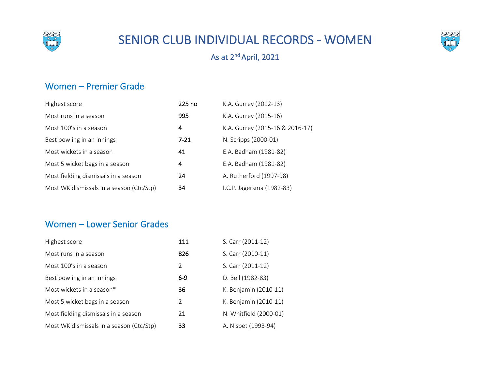

# SENIOR CLUB INDIVIDUAL RECORDS - WOMEN



## As at 2nd April, 2021

#### Women – Premier Grade

| Highest score                            | 225 no   | K.A. Gurrey (2012-13)           |
|------------------------------------------|----------|---------------------------------|
| Most runs in a season                    | 995      | K.A. Gurrey (2015-16)           |
| Most 100's in a season                   | 4        | K.A. Gurrey (2015-16 & 2016-17) |
| Best bowling in an innings               | $7 - 21$ | N. Scripps (2000-01)            |
| Most wickets in a season                 | 41       | E.A. Badham (1981-82)           |
| Most 5 wicket bags in a season           | 4        | E.A. Badham (1981-82)           |
| Most fielding dismissals in a season     | 24       | A. Rutherford (1997-98)         |
| Most WK dismissals in a season (Ctc/Stp) | 34       | I.C.P. Jagersma (1982-83)       |

#### Women – Lower Senior Grades

| Highest score                            | 111   | S. Carr (2011-12)      |
|------------------------------------------|-------|------------------------|
| Most runs in a season                    | 826   | S. Carr (2010-11)      |
| Most 100's in a season                   | 2     | S. Carr (2011-12)      |
| Best bowling in an innings               | $6-9$ | D. Bell (1982-83)      |
| Most wickets in a season*                | 36    | K. Benjamin (2010-11)  |
| Most 5 wicket bags in a season           | 2     | K. Benjamin (2010-11)  |
| Most fielding dismissals in a season     | 21    | N. Whitfield (2000-01) |
| Most WK dismissals in a season (Ctc/Stp) | 33    | A. Nisbet (1993-94)    |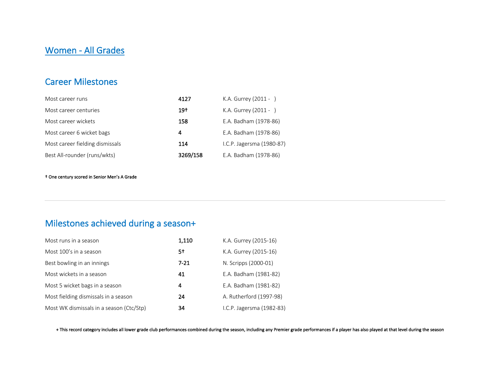### Women - All Grades

#### Career Milestones

| Most career runs                | 4127     | K.A. Gurrey (2011 - )     |
|---------------------------------|----------|---------------------------|
| Most career centuries           | $19+$    | K.A. Gurrey (2011 - )     |
| Most career wickets             | 158      | E.A. Badham (1978-86)     |
| Most career 6 wicket bags       | 4        | E.A. Badham (1978-86)     |
| Most career fielding dismissals | 114      | I.C.P. Jagersma (1980-87) |
| Best All-rounder (runs/wkts)    | 3269/158 | E.A. Badham (1978-86)     |

† One century scored in Senior Men's A Grade

## Milestones achieved during a season+

| Most runs in a season                    | 1,110    | K.A. Gurrey (2015-16)     |
|------------------------------------------|----------|---------------------------|
| Most 100's in a season                   | 5†       | K.A. Gurrey (2015-16)     |
| Best bowling in an innings               | $7 - 21$ | N. Scripps (2000-01)      |
| Most wickets in a season                 | 41       | E.A. Badham (1981-82)     |
| Most 5 wicket bags in a season           | 4        | E.A. Badham (1981-82)     |
| Most fielding dismissals in a season     | 24       | A. Rutherford (1997-98)   |
| Most WK dismissals in a season (Ctc/Stp) | 34       | I.C.P. Jagersma (1982-83) |

+ This record category includes all lower grade club performances combined during the season, including any Premier grade performances if a player has also played at that level during the season